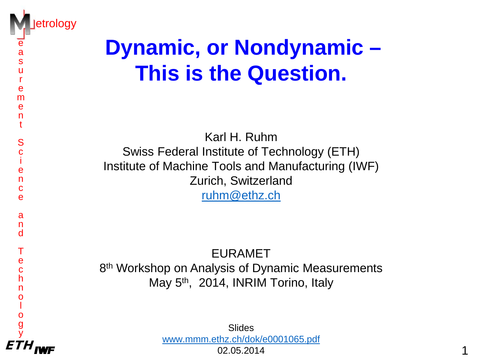

e a s u r e m e n t

> S c i e n c e

> a n d

T e c h n o l o g y

# **Dynamic, or Nondynamic – This is the Question.**

Karl H. Ruhm Swiss Federal Institute of Technology (ETH) Institute of Machine Tools and Manufacturing (IWF) Zurich, Switzerland [ruhm@ethz.ch](mailto:ruhm@ethz.ch)

EURAMET 8<sup>th</sup> Workshop on Analysis of Dynamic Measurements May 5<sup>th</sup>, 2014, INRIM Torino, Italy

ETH 1 Slides [www.mmm.ethz.ch/dok/e0001065.pdf](http://www.mmm.ethz.ch/dok/e0001065.pdf)

02.05.2014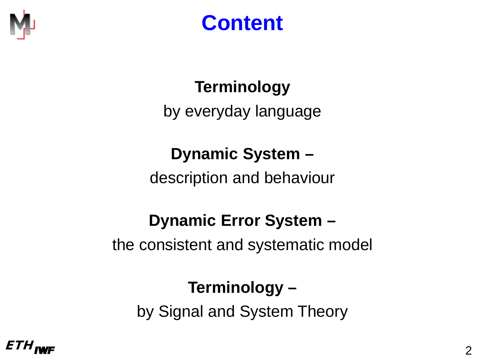

## **Content**

#### **Terminology**

by everyday language

#### **Dynamic System –**

description and behaviour

#### **Dynamic Error System –**

the consistent and systematic model

#### **Terminology –**

by Signal and System Theory

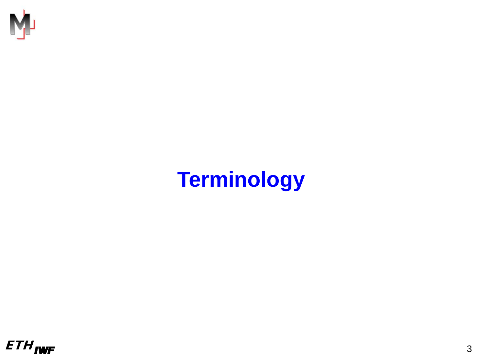

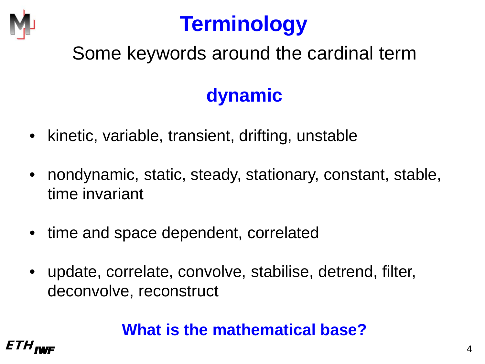

### Some keywords around the cardinal term

## **dynamic**

- kinetic, variable, transient, drifting, unstable
- nondynamic, static, steady, stationary, constant, stable, time invariant
- time and space dependent, correlated
- update, correlate, convolve, stabilise, detrend, filter, deconvolve, reconstruct

#### **What is the mathematical base?**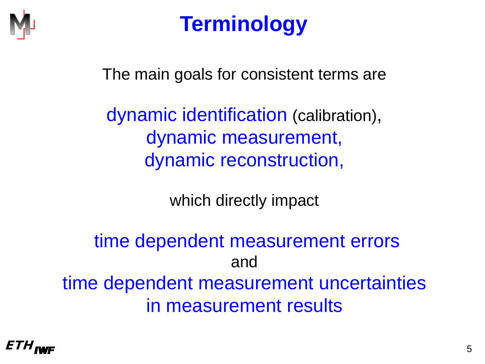

The main goals for consistent terms are

dynamic identification (calibration), dynamic measurement, dynamic reconstruction,

which directly impact

time dependent measurement errors and time dependent measurement uncertainties in measurement results

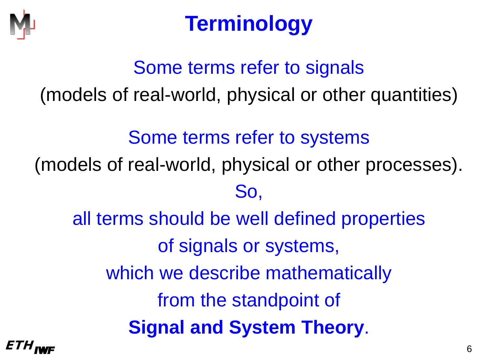

# Some terms refer to signals (models of real-world, physical or other quantities)

#### Some terms refer to systems

(models of real-world, physical or other processes).

#### So,

all terms should be well defined properties of signals or systems, which we describe mathematically from the standpoint of **Signal and System Theory**.

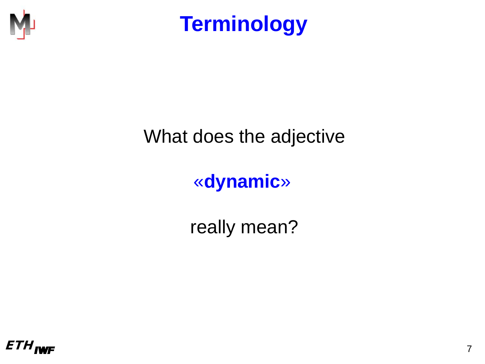

#### What does the adjective

#### «**dynamic**»

really mean?

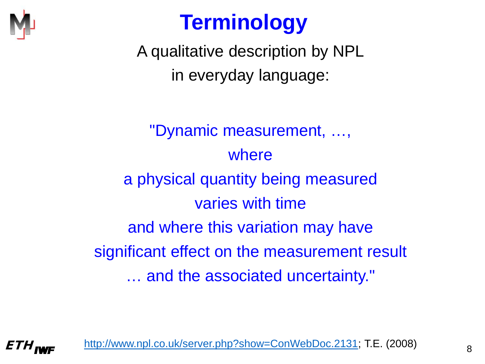

A qualitative description by NPL in everyday language:

"Dynamic measurement, …, where a physical quantity being measured varies with time and where this variation may have significant effect on the measurement result … and the associated uncertainty."

*ETH<sub>IWF</sub>* [http://www.npl.co.uk/server.php?show=ConWebDoc.2131;](http://www.npl.co.uk/server.php?show=ConWebDoc.2131) T.E. (2008)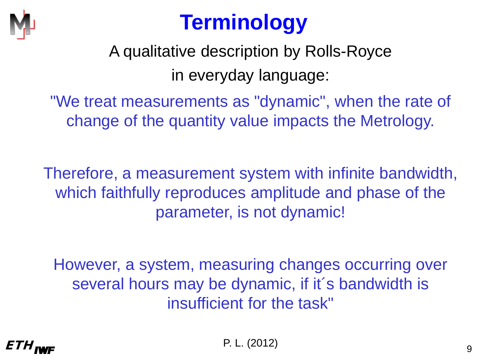

A qualitative description by Rolls-Royce in everyday language:

"We treat measurements as "dynamic", when the rate of change of the quantity value impacts the Metrology.

Therefore, a measurement system with infinite bandwidth, which faithfully reproduces amplitude and phase of the parameter, is not dynamic!

However, a system, measuring changes occurring over several hours may be dynamic, if it's bandwidth is insufficient for the task"

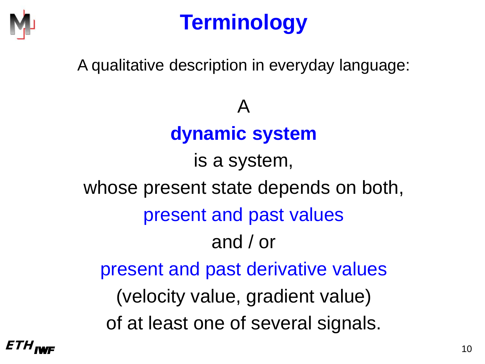

A qualitative description in everyday language:

A **dynamic system** is a system,

whose present state depends on both, present and past values and / or present and past derivative values (velocity value, gradient value) of at least one of several signals.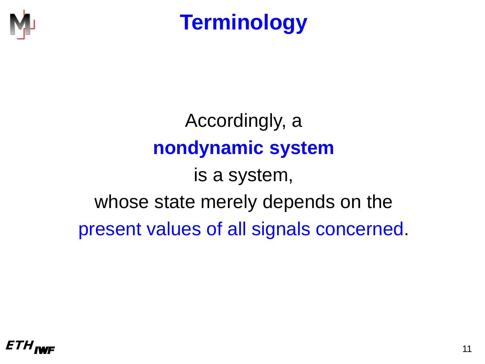

Accordingly, a **nondynamic system** is a system, whose state merely depends on the present values of all signals concerned.

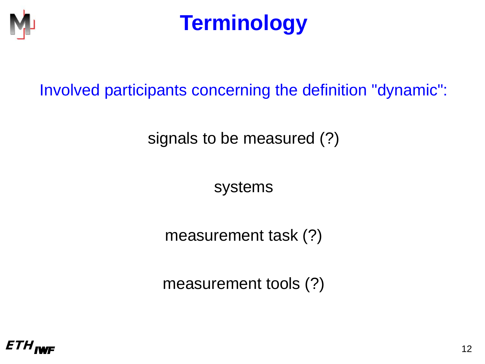

Involved participants concerning the definition "dynamic":

signals to be measured (?)

systems

measurement task (?)

measurement tools (?)

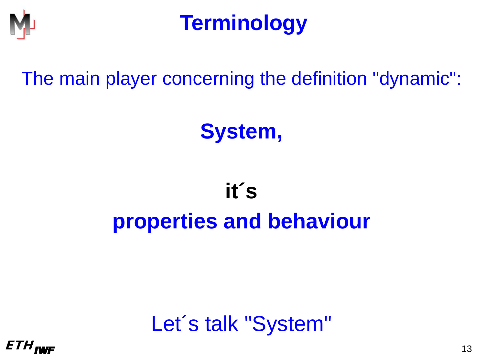

The main player concerning the definition "dynamic":

# **System,**

# **it´ s properties and behaviour**



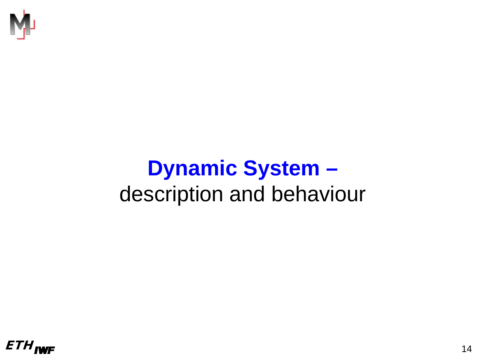

# **Dynamic System –** description and behaviour

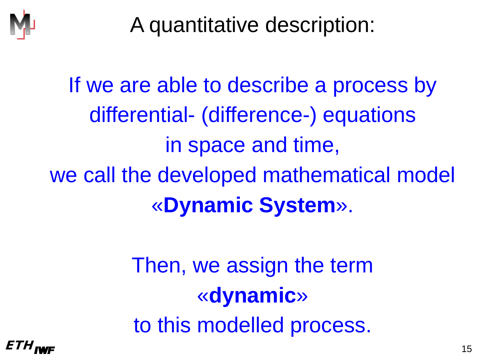

A quantitative description:

If we are able to describe a process by differential- (difference-) equations in space and time, we call the developed mathematical model «**Dynamic System**».

> Then, we assign the term «**dynamic**» to this modelled process.

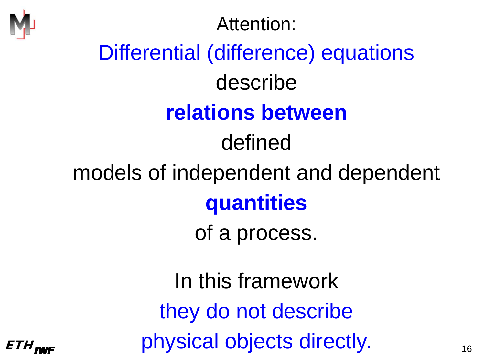

# ETH<sub>IWF</sub> Physical objects directly. Attention: Differential (difference) equations describe **relations between** defined models of independent and dependent **quantities** of a process. In this framework they do not describe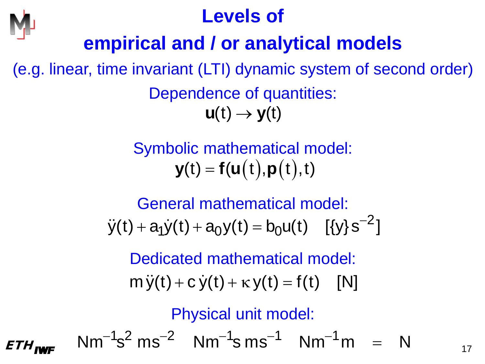

#### **Levels of**

### **empirical and / or analytical models**

(e.g. linear, time invariant (LTI) dynamic system of second order) Dependence of quantities:  $u(t) \rightarrow y(t)$ 

> Symbolic mathematical model:  $$

General mathematical model:

 $\ddot{y}(t) + a_1 \dot{y}(t) + a_0 y(t) = b_0 u(t) \quad [\{y\} s^{-2}]$ 

Dedicated mathematical model:

 $m \ddot{v}(t) + c \dot{v}(t) + \kappa v(t) = f(t)$  [N]

Physical unit model:

 $ETH_{\text{INF}}$  Nm<sup>-1</sup>s<sup>2</sup> ms<sup>-2</sup> Nm<sup>-1</sup>s ms<sup>-1</sup> Nm<sup>-1</sup>m = N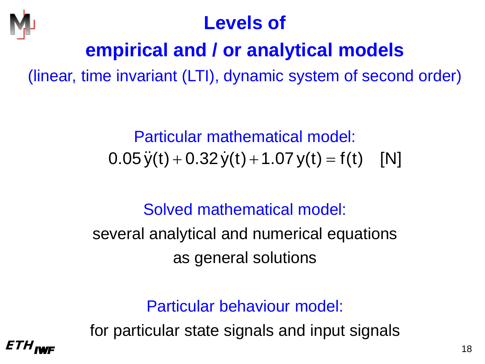

#### **Levels of**

## **empirical and / or analytical models**

(linear, time invariant (LTI), dynamic system of second order)

Particular mathematical model:  $0.05 \ddot{y}(t) + 0.32 \dot{y}(t) + 1.07 y(t) = f(t)$  [N]

Solved mathematical model:

several analytical and numerical equations as general solutions

Particular behaviour model:

for particular state signals and input signals

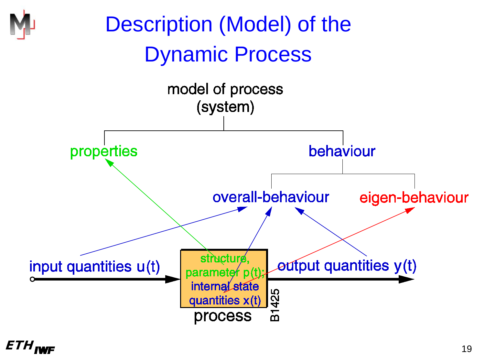

#### $ETH_{\text{INFF}}$  (19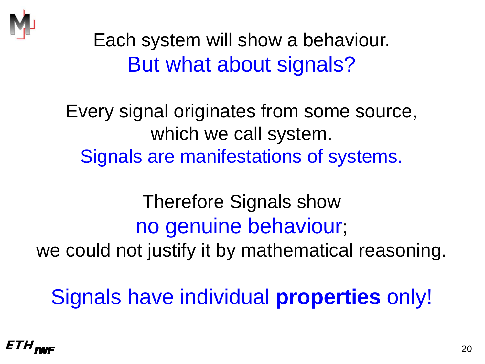

Each system will show a behaviour. But what about signals?

Every signal originates from some source, which we call system. Signals are manifestations of systems.

Therefore Signals show no genuine behaviour; we could not justify it by mathematical reasoning.

Signals have individual **properties** only!

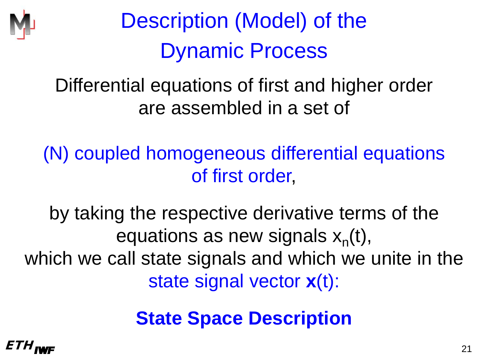

Differential equations of first and higher order are assembled in a set of

(N) coupled homogeneous differential equations of first order,

by taking the respective derivative terms of the equations as new signals  $x_n(t)$ , which we call state signals and which we unite in the state signal vector **x**(t):

**State Space Description**

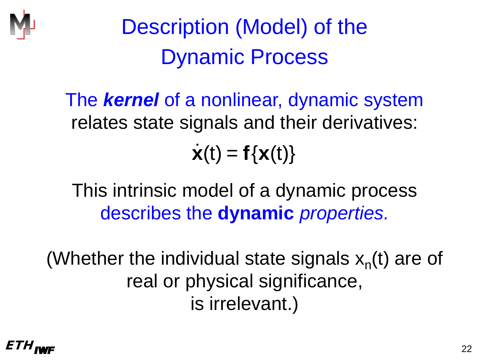

The *kernel* of a nonlinear, dynamic system relates state signals and their derivatives:  $\dot{\mathbf{x}}(t) = \mathbf{f}\{\mathbf{x}(t)\}\$ 

This intrinsic model of a dynamic process describes the **dynamic** *properties.*

(Whether the individual state signals  $x_n(t)$  are of real or physical significance, is irrelevant.)

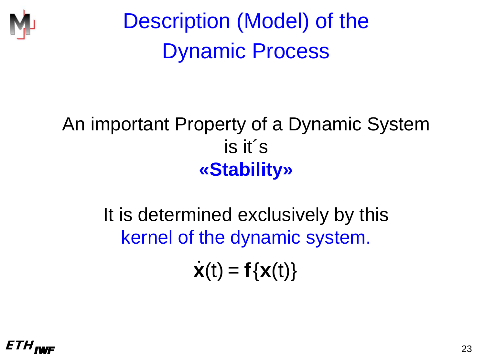

#### An important Property of a Dynamic System is it´s **«Stability»**

It is determined exclusively by this kernel of the dynamic system.

 $\dot{\mathbf{x}}(t) = \mathbf{f}\{\mathbf{x}(t)\}$ 

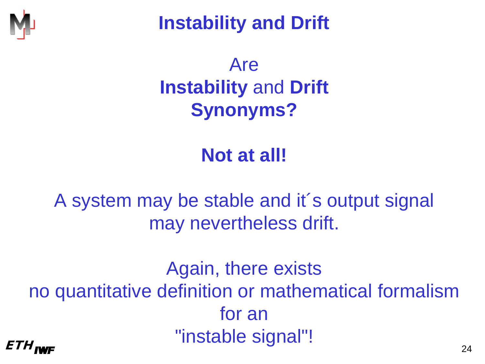

**Instability and Drift**

## Are **Instability** and **Drift Synonyms?**

#### **Not at all!**

A system may be stable and it´s output signal may nevertheless drift.

 $ETH_{I\text{WF}}$  and  $T_{24}$ Again, there exists no quantitative definition or mathematical formalism for an "instable signal"!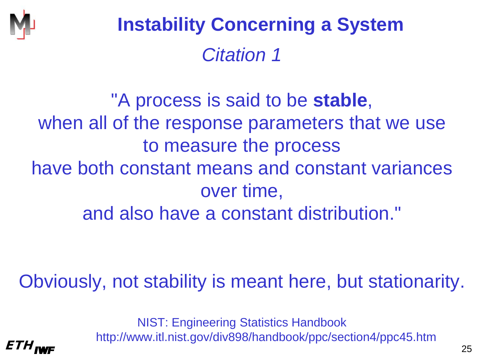

# *Citation 1* **Instability Concerning a System**

"A process is said to be **stable**, when all of the response parameters that we use to measure the process have both constant means and constant variances over time, and also have a constant distribution."

Obviously, not stability is meant here, but stationarity.

 $ETH_{\text{INF}}$  25 NIST: Engineering Statistics Handbook http://www.itl.nist.gov/div898/handbook/ppc/section4/ppc45.htm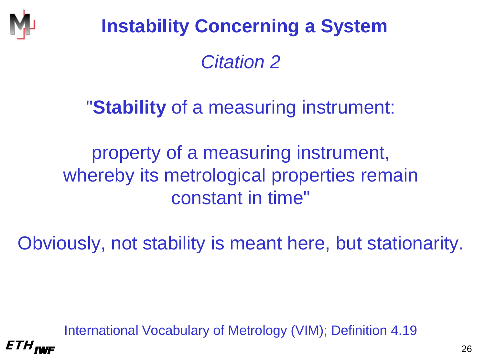

# *Citation 2* **Instability Concerning a System**

#### "**Stability** of a measuring instrument:

property of a measuring instrument, whereby its metrological properties remain constant in time"

Obviously, not stability is meant here, but stationarity.

International Vocabulary of Metrology (VIM); Definition 4.19

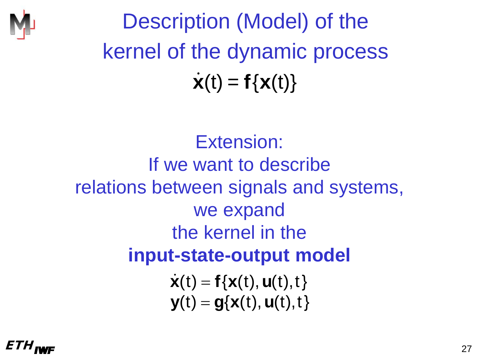

Description (Model) of the kernel of the dynamic process  $\dot{\mathbf{x}}(t) = \mathbf{f}\{\mathbf{x}(t)\}\$ 

Extension: If we want to describe relations between signals and systems, we expand the kernel in the **input-state-output model**  $\dot{\mathbf{x}}(t) = \mathbf{f}\{\mathbf{x}(t), \mathbf{u}(t),t\}$  $\mathbf{y}(t) = \mathbf{g}\{\mathbf{x}(t), \mathbf{u}(t),t\}$ 

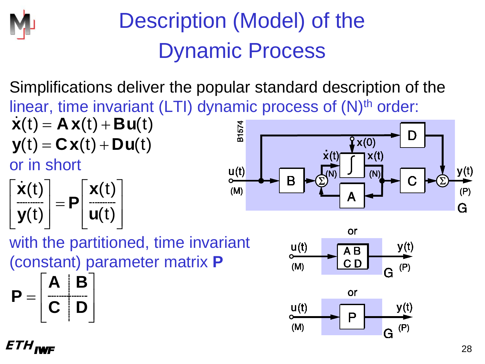

Simplifications deliver the popular standard description of the linear, time invariant (LTI) dynamic process of (N)<sup>th</sup> order:  $\dot{\mathbf{x}}(t) = \mathbf{A}\mathbf{x}(t) + \mathbf{B}\mathbf{u}(t)$ 



**A B**

 $=\begin{bmatrix} \textbf{C} & \textbf{D} \end{bmatrix}$ 

 $\textbf{P} = \left| \begin{array}{c} \textbf{C} \end{array} \right| \textbf{D}$ 



with the partitioned, time invariant (constant) parameter matrix **P**

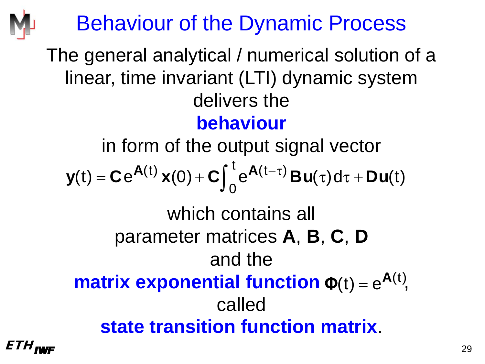# Behaviour of the Dynamic Process

#### The general analytical / numerical solution of a linear, time invariant (LTI) dynamic system delivers the **behaviour**

in form of the output signal vector

$$
\boldsymbol{y}(t) = \boldsymbol{C} e^{\boldsymbol{A}(t)} \boldsymbol{x}(0) + \boldsymbol{C} \int_0^t e^{\boldsymbol{A}(t-\tau)} \boldsymbol{B} \boldsymbol{u}(\tau) d\tau + \boldsymbol{D} \boldsymbol{u}(t)
$$

# which contains all parameter matrices **A**, **B**, **C**, **D** and the

#### **matrix exponential function**  $\Phi(t) = e^{A(t)}$ **,** called **state transition function matrix**.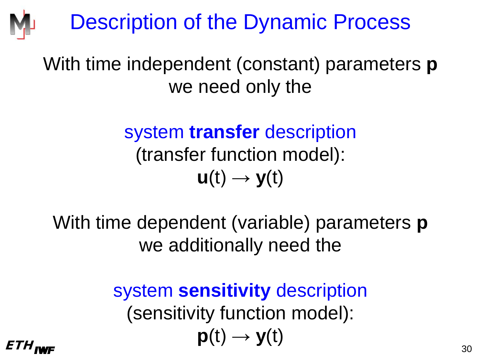# Description of the Dynamic Process

#### With time independent (constant) parameters **p** we need only the

system **transfer** description (transfer function model):  $u(t) \rightarrow v(t)$ 

With time dependent (variable) parameters **p** we additionally need the

 $ETH_{\text{INFF}}$  30 system **sensitivity** description (sensitivity function model):  $p(t) \rightarrow y(t)$ 

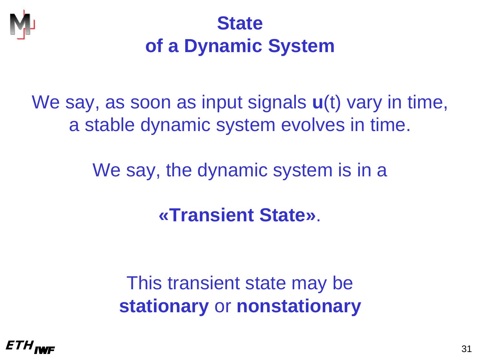

## **State of a Dynamic System**

### We say, as soon as input signals **u**(t) vary in time, a stable dynamic system evolves in time.

We say, the dynamic system is in a

**«Transient State»**.

This transient state may be **stationary** or **nonstationary**

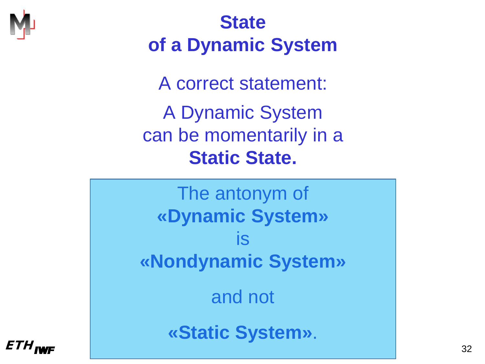

## **State of a Dynamic System**

A correct statement: A Dynamic System can be momentarily in a **Static State.**

The antonym of **«Dynamic System»** is **«Nondynamic System»** and not

**«Static System»** .

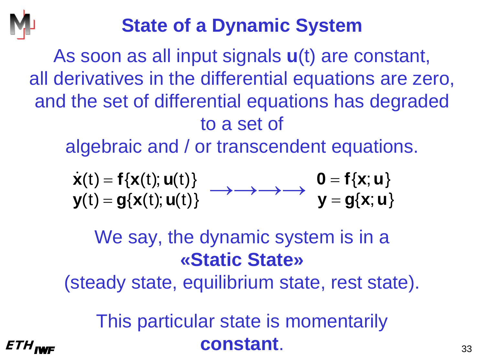

## **State of a Dynamic System**

As soon as all input signals **u**(t) are constant, all derivatives in the differential equations are zero, and the set of differential equations has degraded to a set of

algebraic and / or transcendent equations.

$$
\begin{array}{l} \dot{\mathbf{x}}(t) = \mathbf{f}\{\mathbf{x}(t); \mathbf{u}(t)\} \\ \mathbf{y}(t) = \mathbf{g}\{\mathbf{x}(t); \mathbf{u}(t)\} \end{array} \longrightarrow \longrightarrow \longrightarrow \begin{array}{l} \mathbf{0} = \mathbf{f}\{\mathbf{x}; \mathbf{u}\} \\ \mathbf{y} = \mathbf{g}\{\mathbf{x}; \mathbf{u}\}\end{array}
$$

## We say, the dynamic system is in a **«Static State»**

(steady state, equilibrium state, rest state).

 $ETH_{\text{IWF}}$  **constant**.  $^{33}$ This particular state is momentarily

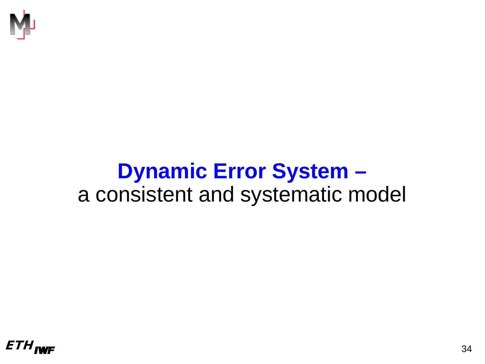

## **Dynamic Error System –** a consistent and systematic model

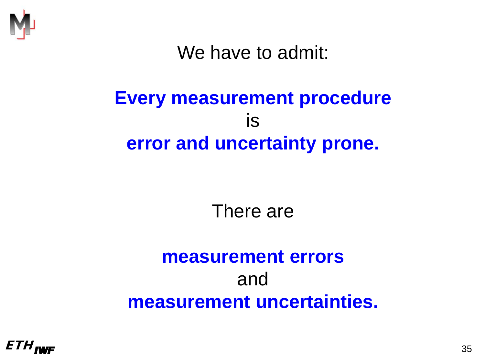

We have to admit:

#### **Every measurement procedure** is **error and uncertainty prone.**

There are

#### **measurement errors** and **measurement uncertainties.**

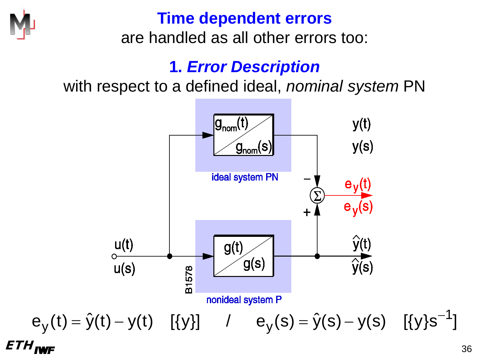

#### **Time dependent errors**

are handled as all other errors too:

#### **1.** *Error Description*

with respect to a defined ideal, *nominal system* PN

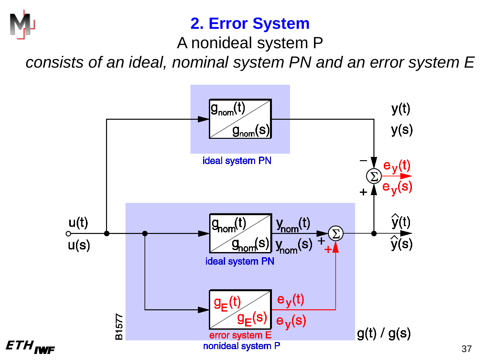

#### **2. Error System**

A nonideal system P

*consists of an ideal, nominal system PN and an error system E*

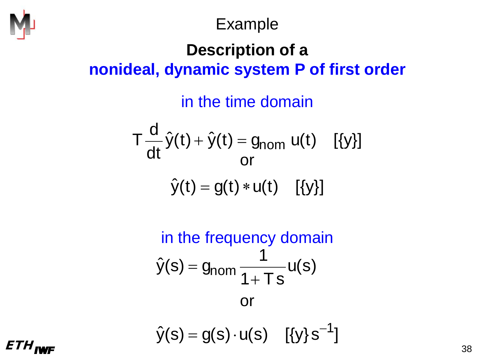

Example

#### **Description of a nonideal, dynamic system P of first order**

in the time domain

$$
T\frac{d}{dt}\hat{y}(t) + \hat{y}(t) = g_{nom} u(t) \quad [\{y\}]
$$
  
or  

$$
\hat{y}(t) = g(t) * u(t) \quad [\{y\}]
$$

in the frequency domain  
\n
$$
\hat{y}(s) = g_{\text{nom}} \frac{1}{1 + Ts} u(s)
$$
\nor  
\n
$$
\hat{y}(s) = g(s) \cdot u(s) \quad [\{y\} s^{-1}]
$$

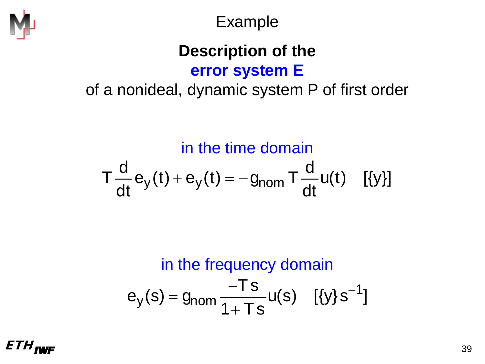

Example

#### **Description of the error system E**

of a nonideal, dynamic system P of first order

in the time domain

$$
T\frac{d}{dt}e_y(t) + e_y(t) = -g_{nom}T\frac{d}{dt}u(t) \quad [\{y\}]
$$

in the frequency domain  
\n
$$
e_y(s) = g_{\text{nom}} \frac{-Ts}{1+Ts} u(s) \quad [\{y\} s^{-1}]
$$

 $ETH_{\text{INFF}}$  39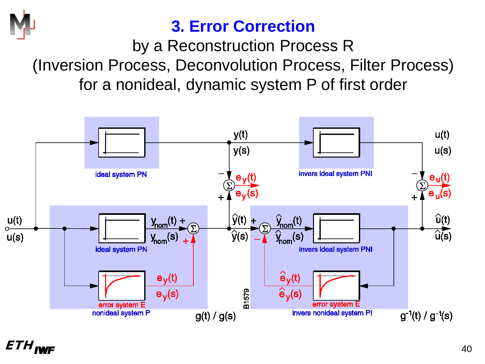

#### **3. Error Correction**

by a Reconstruction Process R (Inversion Process, Deconvolution Process, Filter Process) for a nonideal, dynamic system P of first order

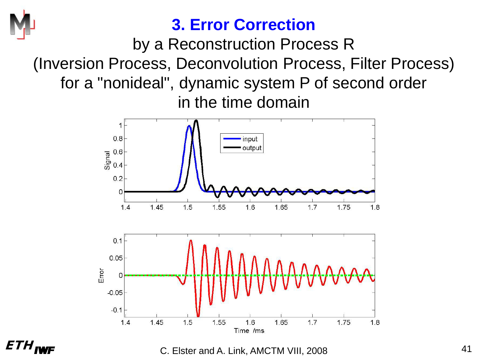

#### **3. Error Correction**

by a Reconstruction Process R (Inversion Process, Deconvolution Process, Filter Process) for a "nonideal", dynamic system P of second order in the time domain



 $ETH_{\text{JWF}}$  . The c. Elster and A. Link, AMCTM VIII, 2008 . The matrix of the state of the state of the state of the state of the state of the state of the state of the state of the state of the state of the state of the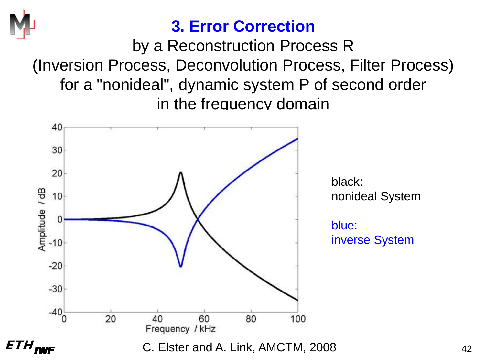

#### **3. Error Correction**

by a Reconstruction Process R (Inversion Process, Deconvolution Process, Filter Process) for a "nonideal", dynamic system P of second order in the frequency domain

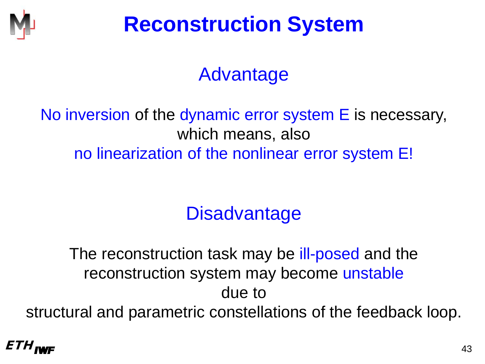

# **Reconstruction System**

## Advantage

#### No inversion of the dynamic error system E is necessary, which means, also no linearization of the nonlinear error system E!

## **Disadvantage**

The reconstruction task may be ill-posed and the reconstruction system may become unstable due to structural and parametric constellations of the feedback loop.

#### $ETH_{\text{INFF}}$  (43)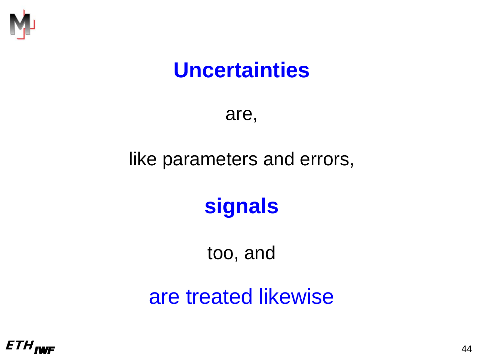

## **Uncertainties**

are,

#### like parameters and errors,

# **signals**

too, and

are treated likewise

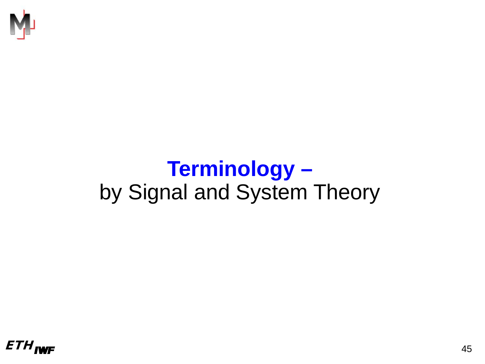

## **Terminology –** by Signal and System Theory

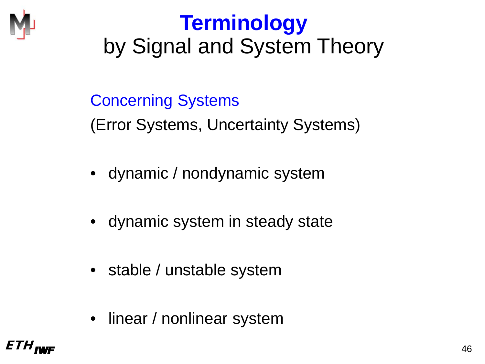

# **Terminology** by Signal and System Theory

#### Concerning Systems

(Error Systems, Uncertainty Systems)

- dynamic / nondynamic system
- dynamic system in steady state
- stable / unstable system
- linear / nonlinear system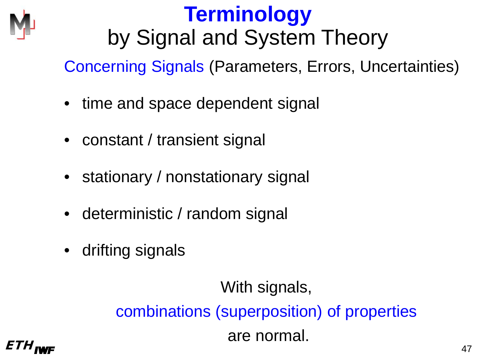

# **Terminology** by Signal and System Theory

Concerning Signals (Parameters, Errors, Uncertainties)

- time and space dependent signal
- constant / transient signal
- stationary / nonstationary signal
- deterministic / random signal
- drifting signals

 $ETH_{I\text{WIF}}$  and the contract of  $47$ With signals, combinations (superposition) of properties are normal.

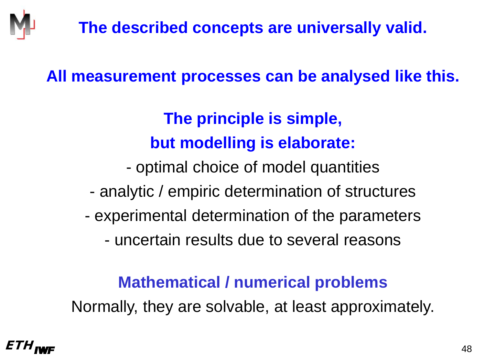#### **All measurement processes can be analysed like this.**

#### **The principle is simple, but modelling is elaborate:**

- optimal choice of model quantities

- analytic / empiric determination of structures
- experimental determination of the parameters
	- uncertain results due to several reasons

#### **Mathematical / numerical problems**

Normally, they are solvable, at least approximately.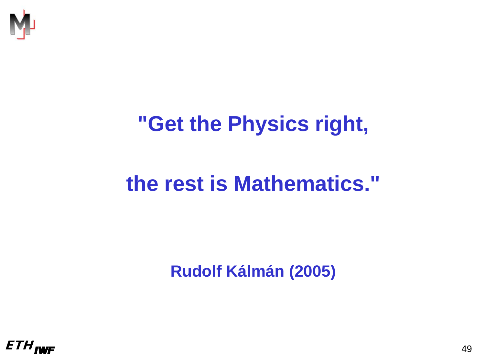

# **"Get the Physics right,**

# **the rest is Mathematics."**

**Rudolf Kálmán (2005)**

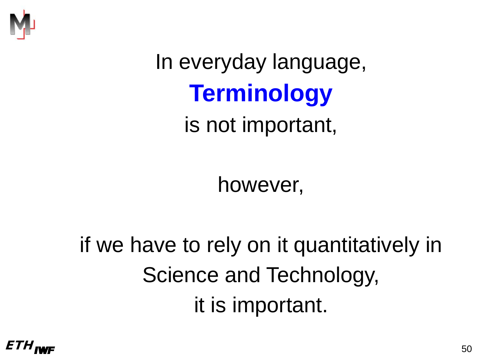

In everyday language, **Terminology** is not important,

however,

if we have to rely on it quantitatively in Science and Technology, it is important.

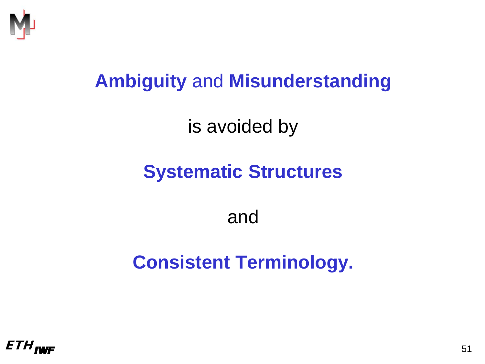

### **Ambiguity** and **Misunderstanding**

is avoided by

## **Systematic Structures**

#### and

## **Consistent Terminology.**

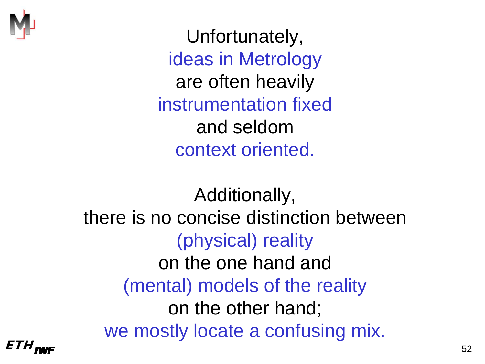

Unfortunately, ideas in Metrology are often heavily instrumentation fixed and seldom context oriented.

 $ETH_{\text{INFF}}$  52 Additionally, there is no concise distinction between (physical) reality on the one hand and (mental) models of the reality on the other hand; we mostly locate a confusing mix.

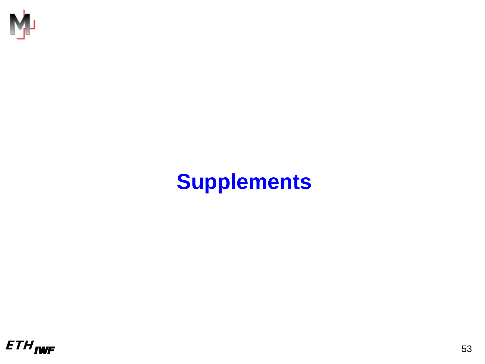

# **Supplements**

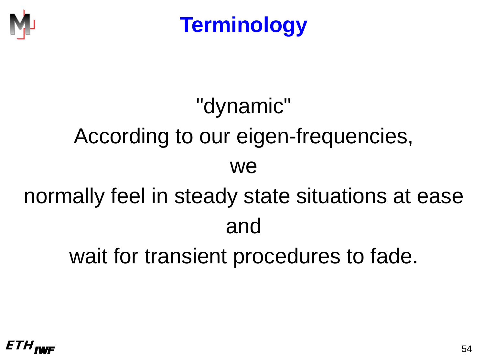

# "dynamic" According to our eigen-frequencies, we normally feel in steady state situations at ease and wait for transient procedures to fade.

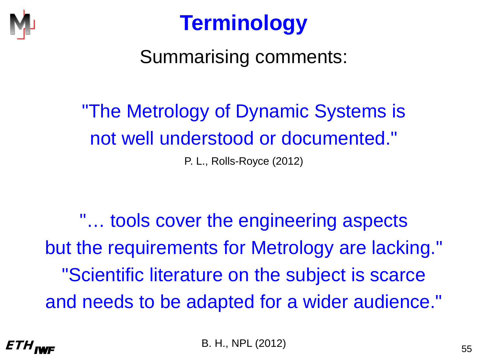

#### Summarising comments:

# "The Metrology of Dynamic Systems is not well understood or documented."

P. L., Rolls-Royce (2012)

"… tools cover the engineering aspects but the requirements for Metrology are lacking." "Scientific literature on the subject is scarce and needs to be adapted for a wider audience."

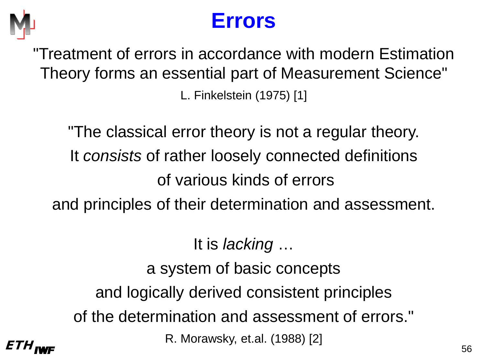

## **Errors**

"Treatment of errors in accordance with modern Estimation Theory forms an essential part of Measurement Science" L. Finkelstein (1975) [1]

"The classical error theory is not a regular theory. It *consists* of rather loosely connected definitions of various kinds of errors and principles of their determination and assessment.

 $ETH_{I\text{WF}}$  56 It is *lacking* … a system of basic concepts and logically derived consistent principles of the determination and assessment of errors." R. Morawsky, et.al. (1988) [2]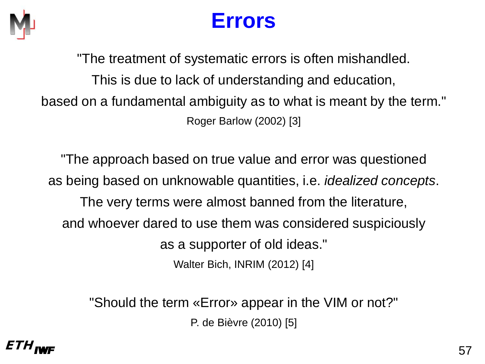

## **Errors**

"The treatment of systematic errors is often mishandled. This is due to lack of understanding and education, based on a fundamental ambiguity as to what is meant by the term." Roger Barlow (2002) [3]

"The approach based on true value and error was questioned as being based on unknowable quantities, i.e. *idealized concepts*. The very terms were almost banned from the literature, and whoever dared to use them was considered suspiciously as a supporter of old ideas." Walter Bich, INRIM (2012) [4]

> "Should the term «Error» appear in the VIM or not?" P. de Bièvre (2010) [5]